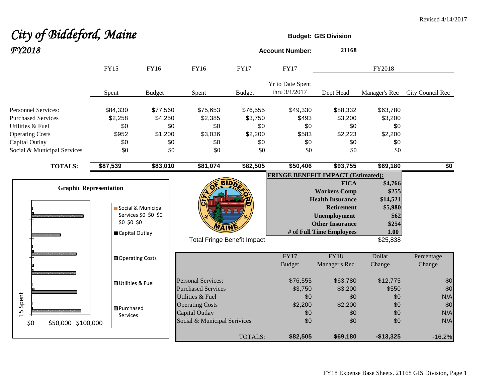# **City of Biddeford, Maine Budget:** GIS Division *FY2018* **Account Number: <sup>21168</sup>**

|                                                                                                                                                        | <b>FY15</b>                                       | <b>FY16</b>                                         | FY16                                                                                         | <b>FY17</b>                                         | <b>FY17</b>                                     |                                                                                                                                                                 | FY2018                                                                       |                          |
|--------------------------------------------------------------------------------------------------------------------------------------------------------|---------------------------------------------------|-----------------------------------------------------|----------------------------------------------------------------------------------------------|-----------------------------------------------------|-------------------------------------------------|-----------------------------------------------------------------------------------------------------------------------------------------------------------------|------------------------------------------------------------------------------|--------------------------|
|                                                                                                                                                        | Spent                                             | <b>Budget</b>                                       | Spent                                                                                        | <b>Budget</b>                                       | Yr to Date Spent<br>thru 3/1/2017               | Dept Head                                                                                                                                                       | Manager's Rec                                                                | City Council Rec         |
| <b>Personnel Services:</b><br><b>Purchased Services</b><br>Utilities & Fuel<br><b>Operating Costs</b><br>Capital Outlay<br>Social & Municipal Services | \$84,330<br>\$2,258<br>\$0<br>\$952<br>\$0<br>\$0 | \$77,560<br>\$4,250<br>\$0<br>\$1,200<br>\$0<br>\$0 | \$75,653<br>\$2,385<br>\$0<br>\$3,036<br>\$0<br>\$0                                          | \$76,555<br>\$3,750<br>\$0<br>\$2,200<br>\$0<br>\$0 | \$49,330<br>\$493<br>\$0<br>\$583<br>\$0<br>\$0 | \$88,332<br>\$3,200<br>\$0<br>\$2,223<br>\$0<br>\$0                                                                                                             | \$63,780<br>\$3,200<br>\$0<br>\$2,200<br>\$0<br>\$0                          |                          |
| <b>TOTALS:</b>                                                                                                                                         | \$87,539                                          | \$83,010                                            | \$81,074                                                                                     | \$82,505                                            | \$50,406                                        | \$93,755                                                                                                                                                        | \$69,180                                                                     | \$0                      |
| <b>Graphic Representation</b>                                                                                                                          | \$0 \$0 \$0<br>Capital Outlay                     | Social & Municipal<br>Services \$0 \$0 \$0          | BID<br>WAIN<br><b>Total Fringe Benefit Impact</b>                                            |                                                     | <b>FRINGE BENEFIT IMPACT (Estimated):</b>       | <b>FICA</b><br><b>Workers Comp</b><br><b>Health Insurance</b><br><b>Retirement</b><br><b>Unemployment</b><br><b>Other Insurance</b><br># of Full Time Employees | \$4,766<br>\$255<br>\$14,521<br>\$5,980<br>\$62<br>\$254<br>1.00<br>\$25,838 |                          |
|                                                                                                                                                        | <b>□</b> Operating Costs                          |                                                     |                                                                                              |                                                     | <b>FY17</b><br><b>Budget</b>                    | <b>FY18</b><br>Manager's Rec                                                                                                                                    | Dollar<br>Change                                                             | Percentage<br>Change     |
|                                                                                                                                                        | <b>□</b> Utilities & Fuel                         |                                                     | <b>Personal Services:</b><br><b>Purchased Services</b>                                       |                                                     | \$76,555<br>\$3,750                             | \$63,780<br>\$3,200                                                                                                                                             | $-$12,775$<br>$-$ \$550                                                      | \$0<br>\$0               |
| Spent<br>15<br>\$0<br>\$50,000 \$100,000                                                                                                               | <b>B</b> Purchased<br><b>Services</b>             |                                                     | Utilities & Fuel<br><b>Operating Costs</b><br>Capital Outlay<br>Social & Municipal Serivices |                                                     | \$0<br>\$2,200<br>\$0<br>\$0                    | \$0<br>\$2,200<br>\$0<br>\$0                                                                                                                                    | \$0<br>\$0<br>\$0<br>\$0                                                     | N/A<br>\$0<br>N/A<br>N/A |
|                                                                                                                                                        |                                                   |                                                     |                                                                                              | TOTALS:                                             | \$82,505                                        | \$69,180                                                                                                                                                        | $-$13,325$                                                                   | $-16.2%$                 |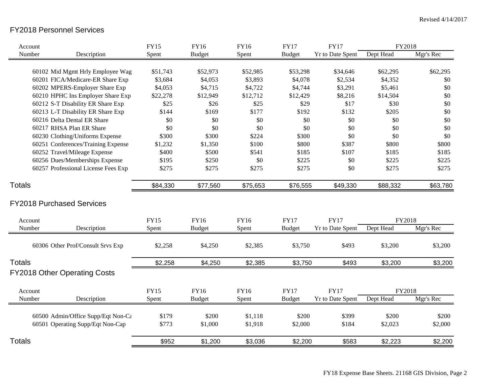## FY2018 Personnel Services

| Account                                                                |             | <b>FY15</b>    | <b>FY16</b>      | FY16               | <b>FY17</b>      | <b>FY17</b>      | FY2018           |                  |
|------------------------------------------------------------------------|-------------|----------------|------------------|--------------------|------------------|------------------|------------------|------------------|
| Number                                                                 | Description | Spent          | <b>Budget</b>    | Spent              | <b>Budget</b>    | Yr to Date Spent | Dept Head        | Mgr's Rec        |
|                                                                        |             |                |                  |                    |                  |                  |                  |                  |
| 60102 Mid Mgmt Hrly Employee Wag                                       |             | \$51,743       | \$52,973         | \$52,985           | \$53,298         | \$34,646         | \$62,295         | \$62,295         |
| 60201 FICA/Medicare-ER Share Exp                                       |             | \$3,684        | \$4,053          | \$3,893            | \$4,078          | \$2,534          | \$4,352          | \$0              |
| 60202 MPERS-Employer Share Exp                                         |             | \$4,053        | \$4,715          | \$4,722            | \$4,744          | \$3,291          | \$5,461          | \$0              |
| 60210 HPHC Ins Employer Share Exp                                      |             | \$22,278       | \$12,949         | \$12,712           | \$12,429         | \$8,216          | \$14,504         | \$0              |
| 60212 S-T Disability ER Share Exp                                      |             | \$25           | \$26             | \$25               | \$29             | \$17             | \$30             | \$0              |
| 60213 L-T Disability ER Share Exp                                      |             | \$144          | \$169            | \$177              | \$192            | \$132            | \$205            | \$0              |
| 60216 Delta Dental ER Share                                            |             | \$0            | \$0              | \$0                | \$0              | \$0              | \$0              | \$0              |
| 60217 RHSA Plan ER Share                                               |             | \$0            | \$0              | \$0                | \$0              | \$0              | \$0              | \$0              |
| 60230 Clothing/Uniforms Expense                                        |             | \$300          | \$300            | \$224              | \$300            | \$0              | \$0              | \$0              |
| 60251 Conferences/Training Expense                                     |             | \$1,232        | \$1,350          | \$100              | \$800            | \$387            | \$800            | \$800            |
| 60252 Travel/Mileage Expense                                           |             | \$400          | \$500            | \$541              | \$185            | \$107            | \$185            | \$185            |
| 60256 Dues/Memberships Expense                                         |             | \$195          | \$250            | \$0                | \$225            | \$0              | \$225            | \$225            |
| 60257 Professional License Fees Exp                                    |             | \$275          | \$275            | \$275              | \$275            | \$0              | \$275            | \$275            |
| <b>Totals</b>                                                          |             | \$84,330       | \$77,560         | \$75,653           | \$76,555         | \$49,330         | \$88,332         | \$63,780         |
| <b>FY2018 Purchased Services</b>                                       |             |                |                  |                    |                  |                  |                  |                  |
| Account                                                                |             | <b>FY15</b>    | <b>FY16</b>      | FY16               | <b>FY17</b>      | <b>FY17</b>      | FY2018           |                  |
| Number                                                                 | Description | Spent          | <b>Budget</b>    | Spent              | <b>Budget</b>    | Yr to Date Spent | Dept Head        | Mgr's Rec        |
| 60306 Other Prof/Consult Srvs Exp                                      |             | \$2,258        | \$4,250          | \$2,385            | \$3,750          | \$493            | \$3,200          | \$3,200          |
| <b>Totals</b>                                                          |             | \$2,258        | \$4,250          | \$2,385            | \$3,750          | \$493            | \$3,200          | \$3,200          |
| <b>FY2018 Other Operating Costs</b>                                    |             |                |                  |                    |                  |                  |                  |                  |
| Account                                                                |             | <b>FY15</b>    | <b>FY16</b>      | FY16               | <b>FY17</b>      | <b>FY17</b>      | FY2018           |                  |
| Number                                                                 | Description | Spent          | <b>Budget</b>    | Spent              | <b>Budget</b>    | Yr to Date Spent | Dept Head        | Mgr's Rec        |
| 60500 Admin/Office Supp/Eqt Non-Cε<br>60501 Operating Supp/Eqt Non-Cap |             | \$179<br>\$773 | \$200<br>\$1,000 | \$1,118<br>\$1,918 | \$200<br>\$2,000 | \$399<br>\$184   | \$200<br>\$2,023 | \$200<br>\$2,000 |
| <b>Totals</b>                                                          |             | \$952          | \$1,200          | \$3,036            | \$2,200          | \$583            | \$2,223          | \$2,200          |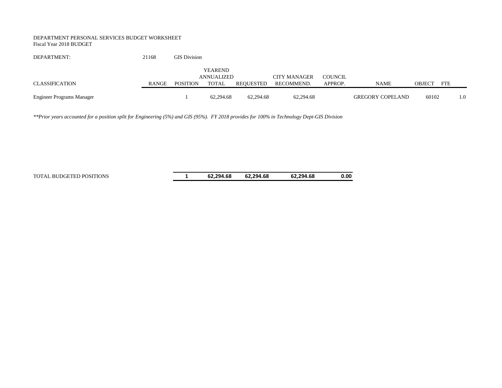#### DEPARTMENT PERSONAL SERVICES BUDGET WORKSHEET Fiscal Year 2018 BUDGET

| DEPARTMENT:               | 21168 | <b>GIS Division</b> |                |           |                     |         |                         |               |            |     |
|---------------------------|-------|---------------------|----------------|-----------|---------------------|---------|-------------------------|---------------|------------|-----|
|                           |       |                     | <b>YEAREND</b> |           |                     |         |                         |               |            |     |
|                           |       |                     | ANNUALIZED     |           | <b>CITY MANAGER</b> | COUNCIL |                         |               |            |     |
| CLASSIFICATION            | RANGE | <b>POSITION</b>     | TOTAL          | REOUESTED | RECOMMEND.          | APPROP. | <b>NAME</b>             | <b>OBJECT</b> | <b>FTE</b> |     |
|                           |       |                     |                |           |                     |         |                         |               |            |     |
| Engineer Programs Manager |       |                     | 62.294.68      | 62,294.68 | 62,294.68           |         | <b>GREGORY COPELAND</b> | 60102         |            | 1.0 |

*\*\*Prior years accounted for a position split for Engineering (5%) and GIS (95%). FY 2018 provides for 100% in Technology Dept-GIS Division*

TOTAL BUDGETED POSITIONS **1 62,294.68 62,294.68 62,294.68 0.00**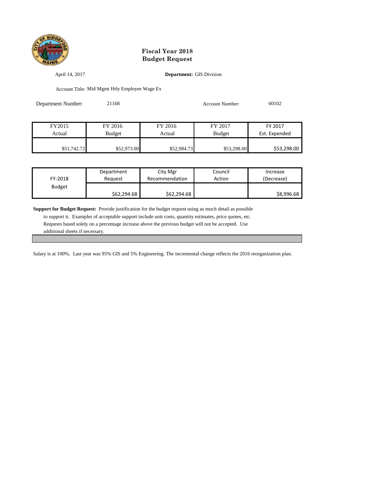

April 14, 2017 **Department:** GIS Division

Account Title: Mid Mgmt Hrly Employee Wage Ex

| Department Number: | 21168         |             | <b>Account Number:</b> | 60102         |
|--------------------|---------------|-------------|------------------------|---------------|
|                    |               |             |                        |               |
| FY2015             | FY 2016       | FY 2016     | FY 2017                | FY 2017       |
| Actual             | <b>Budget</b> | Actual      | <b>Budget</b>          | Est. Expended |
| \$51,742.72        | \$52,973.00   | \$52,984.73 | \$53,298.00            | \$53,298.00   |

| FY-2018       | Department  | City Mgr       | Council | Increase   |
|---------------|-------------|----------------|---------|------------|
|               | Reauest     | Recommendation | Action  | (Decrease) |
| <b>Budget</b> | \$62,294.68 | \$62,294.68    |         | \$8,996.68 |

**Support for Budget Request:** Provide justification for the budget request using as much detail as possible

 to support it. Examples of acceptable support include unit costs, quantity estimates, price quotes, etc. Requests based solely on a percentage increase above the previous budget will not be accepted. Use additional sheets if necessary.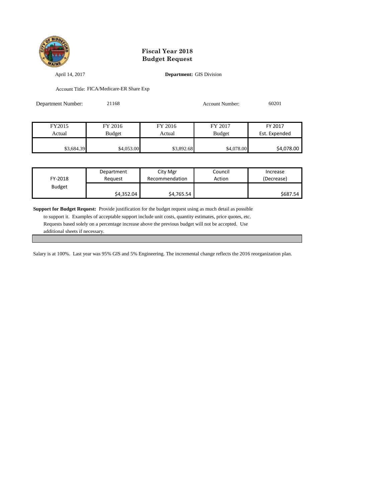

April 14, 2017 **Department:** GIS Division

Account Title: FICA/Medicare-ER Share Exp

| Department Number: | 21168         |            | <b>Account Number:</b> | 60201         |
|--------------------|---------------|------------|------------------------|---------------|
|                    |               |            |                        |               |
| FY2015             | FY 2016       | FY 2016    | FY 2017                | FY 2017       |
| Actual             | <b>Budget</b> | Actual     | <b>Budget</b>          | Est. Expended |
| \$3,684.39         | \$4,053.00    | \$3,892.68 | \$4,078.00             | \$4,078.00    |

| FY-2018       | Department | City Mgr       | Council | Increase   |
|---------------|------------|----------------|---------|------------|
|               | Reauest    | Recommendation | Action  | (Decrease) |
| <b>Budget</b> | \$4,352.04 | \$4,765.54     |         | \$687.54   |

**Support for Budget Request:** Provide justification for the budget request using as much detail as possible

 to support it. Examples of acceptable support include unit costs, quantity estimates, price quotes, etc. Requests based solely on a percentage increase above the previous budget will not be accepted. Use additional sheets if necessary.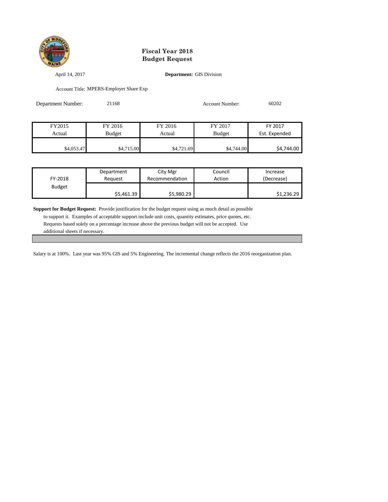

April 14, 2017 **Department:** GIS Division

Account Title: MPERS-Employer Share Exp

| Department Number: | 21168         |            | Account Number: | 60202         |
|--------------------|---------------|------------|-----------------|---------------|
|                    |               |            |                 |               |
| FY2015             | FY 2016       | FY 2016    | FY 2017         | FY 2017       |
| Actual             | <b>Budget</b> | Actual     | <b>Budget</b>   | Est. Expended |
| \$4,053.47         | \$4,715.00    | \$4,721.69 | \$4,744.00      | \$4,744.00    |

| FY-2018       | Department | City Mgr       | Council | Increase   |
|---------------|------------|----------------|---------|------------|
|               | Reauest    | Recommendation | Action  | (Decrease) |
| <b>Budget</b> | \$5,461.39 | \$5,980.29     |         | \$1,236.29 |

**Support for Budget Request:** Provide justification for the budget request using as much detail as possible

 to support it. Examples of acceptable support include unit costs, quantity estimates, price quotes, etc. Requests based solely on a percentage increase above the previous budget will not be accepted. Use additional sheets if necessary.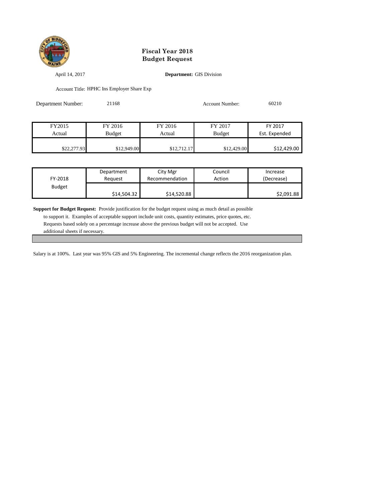

April 14, 2017 **Department:** GIS Division

Account Title: HPHC Ins Employer Share Exp

| Department Number: | 21168         |             | <b>Account Number:</b> | 60210         |
|--------------------|---------------|-------------|------------------------|---------------|
|                    |               |             |                        |               |
| FY2015             | FY 2016       | FY 2016     | FY 2017                | FY 2017       |
| Actual             | <b>Budget</b> | Actual      | <b>Budget</b>          | Est. Expended |
| \$22,277.93        | \$12,949.00   | \$12,712.17 | \$12,429.00            | \$12,429.00   |

| FY-2018       | Department  | City Mgr       | Council | Increase   |
|---------------|-------------|----------------|---------|------------|
|               | Reauest     | Recommendation | Action  | (Decrease) |
| <b>Budget</b> | \$14,504.32 | \$14,520.88    |         | \$2,091.88 |

**Support for Budget Request:** Provide justification for the budget request using as much detail as possible

 to support it. Examples of acceptable support include unit costs, quantity estimates, price quotes, etc. Requests based solely on a percentage increase above the previous budget will not be accepted. Use additional sheets if necessary.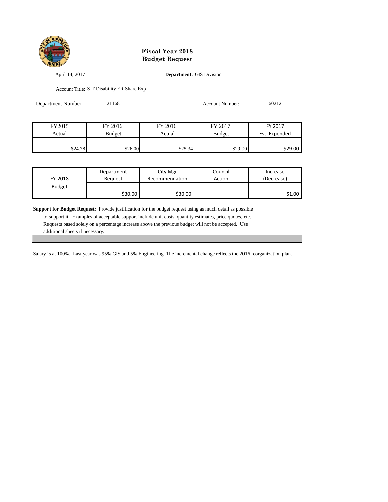

April 14, 2017 **Department:** GIS Division

Account Title: S-T Disability ER Share Exp

| Department Number: | 21168         |         | <b>Account Number:</b> | 60212         |
|--------------------|---------------|---------|------------------------|---------------|
|                    |               |         |                        |               |
| FY2015             | FY 2016       | FY 2016 | FY 2017                | FY 2017       |
| Actual             | <b>Budget</b> | Actual  | <b>Budget</b>          | Est. Expended |
| \$24.78            | \$26.00       | \$25.34 | \$29.00                | \$29.00       |

| FY-2018       | Department | City Mgr             | Council | Increase   |
|---------------|------------|----------------------|---------|------------|
|               | Reauest    | Recommendation       | Action  | (Decrease) |
| <b>Budget</b> | \$30.00    | \$30.00 <sub>1</sub> |         | \$1.00     |

**Support for Budget Request:** Provide justification for the budget request using as much detail as possible

 to support it. Examples of acceptable support include unit costs, quantity estimates, price quotes, etc. Requests based solely on a percentage increase above the previous budget will not be accepted. Use additional sheets if necessary.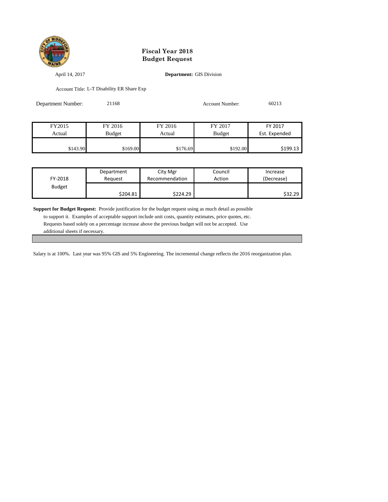

April 14, 2017 **Department:** GIS Division

Account Title: L-T Disability ER Share Exp

| Department Number: | 21168         |          | <b>Account Number:</b> | 60213         |
|--------------------|---------------|----------|------------------------|---------------|
|                    |               |          |                        |               |
| FY2015             | FY 2016       | FY 2016  | FY 2017                | FY 2017       |
| Actual             | <b>Budget</b> | Actual   | <b>Budget</b>          | Est. Expended |
| \$143.90           | \$169.00      | \$176.69 | \$192.00               | \$199.13      |

| FY-2018       | Department | City Mgr       | Council | Increase   |
|---------------|------------|----------------|---------|------------|
|               | Reauest    | Recommendation | Action  | (Decrease) |
| <b>Budget</b> | \$204.81   | \$224.29       |         | \$32.29    |

**Support for Budget Request:** Provide justification for the budget request using as much detail as possible

 to support it. Examples of acceptable support include unit costs, quantity estimates, price quotes, etc. Requests based solely on a percentage increase above the previous budget will not be accepted. Use additional sheets if necessary.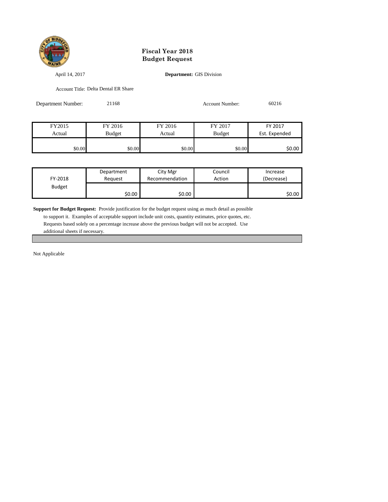

April 14, 2017 **Department:** GIS Division

\$0.00 \$0.00 \$0.00 \$0.00 \$0.00 \$0.00 \$0.00 \$0.00

Account Title: Delta Dental ER Share

| Department Number: | 21168         |         | <b>Account Number:</b> | 60216         |
|--------------------|---------------|---------|------------------------|---------------|
|                    |               |         |                        |               |
| FY2015             | FY 2016       | FY 2016 | FY 2017                | FY 2017       |
| Actual             | <b>Budget</b> | Actual  | <b>Budget</b>          | Est. Expended |
|                    |               |         |                        |               |

| FY-2018       | Department | City Mgr       | Council | Increase   |
|---------------|------------|----------------|---------|------------|
|               | Reauest    | Recommendation | Action  | (Decrease) |
| <b>Budget</b> | \$0.00     | \$0.00         |         | \$0.00     |

**Support for Budget Request:** Provide justification for the budget request using as much detail as possible

 to support it. Examples of acceptable support include unit costs, quantity estimates, price quotes, etc. Requests based solely on a percentage increase above the previous budget will not be accepted. Use additional sheets if necessary.

Not Applicable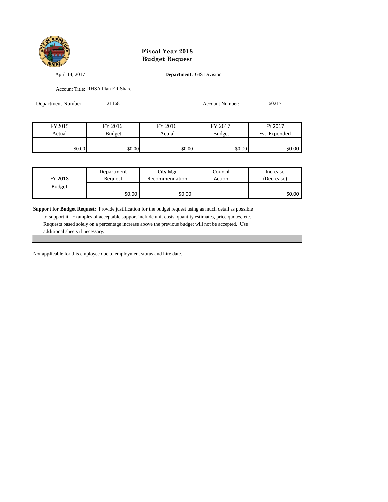

April 14, 2017 **Department:** GIS Division

\$0.00 \$0.00 \$0.00 \$0.00 \$0.00 \$0.00 \$0.00 \$0.00

Account Title: RHSA Plan ER Share

| Department Number: | 21168         |         | <b>Account Number:</b> | 60217         |
|--------------------|---------------|---------|------------------------|---------------|
|                    |               |         |                        |               |
|                    |               |         |                        |               |
| FY2015             | FY 2016       | FY 2016 | FY 2017                | FY 2017       |
| Actual             | <b>Budget</b> | Actual  | <b>Budget</b>          | Est. Expended |
|                    |               |         |                        |               |

| FY-2018       | Department | City Mgr       | Council | Increase   |
|---------------|------------|----------------|---------|------------|
|               | Reauest    | Recommendation | Action  | (Decrease) |
| <b>Budget</b> | \$0.00     | \$0.00         |         | \$0.00     |

**Support for Budget Request:** Provide justification for the budget request using as much detail as possible

 to support it. Examples of acceptable support include unit costs, quantity estimates, price quotes, etc. Requests based solely on a percentage increase above the previous budget will not be accepted. Use additional sheets if necessary.

Not applicable for this employee due to employment status and hire date.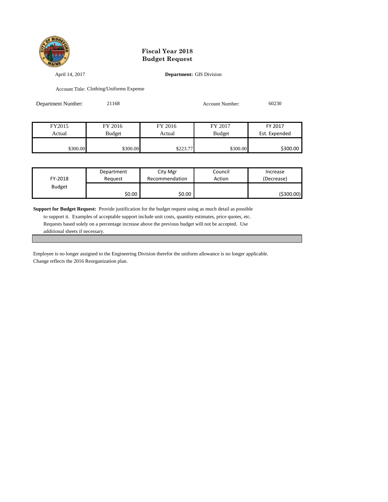

April 14, 2017 **Department:** GIS Division

Account Title: Clothing/Uniforms Expense

| Department Number: | 21168         |          | <b>Account Number:</b> | 60230         |
|--------------------|---------------|----------|------------------------|---------------|
|                    |               |          |                        |               |
| FY2015             | FY 2016       | FY 2016  | FY 2017                | FY 2017       |
| Actual             | <b>Budget</b> | Actual   | <b>Budget</b>          | Est. Expended |
| \$300.00           | \$300.00      | \$223.77 | \$300.00               | \$300.00      |

| FY-2018       | Department | City Mgr       | Council | Increase   |
|---------------|------------|----------------|---------|------------|
|               | Reauest    | Recommendation | Action  | (Decrease) |
| <b>Budget</b> | \$0.00     | \$0.00         |         | (\$300.00) |

**Support for Budget Request:** Provide justification for the budget request using as much detail as possible

 to support it. Examples of acceptable support include unit costs, quantity estimates, price quotes, etc. Requests based solely on a percentage increase above the previous budget will not be accepted. Use additional sheets if necessary.

Employee is no longer assigned to the Engineering Division therefor the uniform allowance is no longer applicable. Change reflects the 2016 Reorganization plan.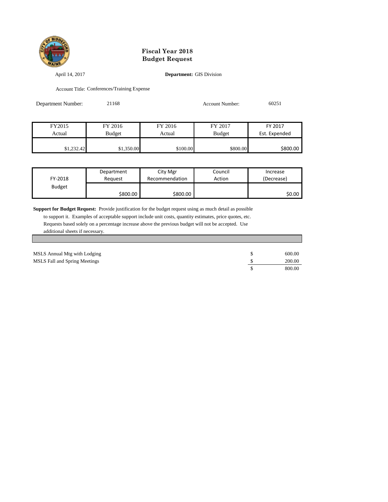

April 14, 2017 **Department:** GIS Division

Account Title: Conferences/Training Expense

| Department Number: | 21168         |          | <b>Account Number:</b> | 60251         |
|--------------------|---------------|----------|------------------------|---------------|
|                    |               |          |                        |               |
| FY2015             | FY 2016       | FY 2016  | FY 2017                | FY 2017       |
| Actual             | <b>Budget</b> | Actual   | <b>Budget</b>          | Est. Expended |
| \$1,232.42         | \$1,350.00    | \$100.00 | \$800.00               | \$800.00      |

| FY-2018       | Department | City Mgr       | Council | Increase   |
|---------------|------------|----------------|---------|------------|
|               | Reauest    | Recommendation | Action  | (Decrease) |
| <b>Budget</b> | \$800.00   | \$800.00       |         | \$0.00     |

**Support for Budget Request:** Provide justification for the budget request using as much detail as possible

| MSLS Annual Mtg with Lodging         | 600.00 |
|--------------------------------------|--------|
| <b>MSLS Fall and Spring Meetings</b> | 200.00 |
|                                      | 800.00 |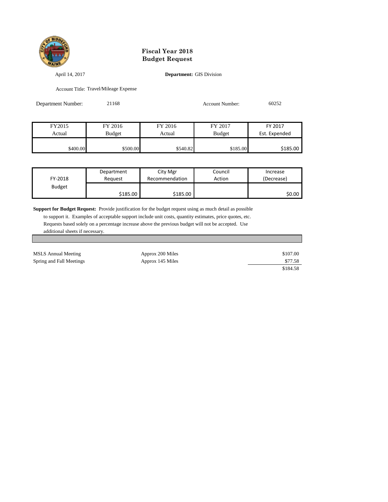

April 14, 2017 **Department:** GIS Division

Account Title: Travel/Mileage Expense

| Department Number: | 21168         | <b>Account Number:</b> |               | 60252         |
|--------------------|---------------|------------------------|---------------|---------------|
|                    |               |                        |               |               |
|                    |               |                        |               |               |
| FY2015             | FY 2016       | FY 2016                | FY 2017       | FY 2017       |
| Actual             | <b>Budget</b> | Actual                 | <b>Budget</b> | Est. Expended |
|                    |               |                        |               |               |

| FY-2018       | Department | City Mgr       | Council | Increase   |
|---------------|------------|----------------|---------|------------|
|               | Reauest    | Recommendation | Action  | (Decrease) |
| <b>Budget</b> | \$185.00   | \$185.00       |         | \$0.00     |

\$400.00 \$500.00 \$500.00 \$540.82 \$185.00 \$185.00

**Support for Budget Request:** Provide justification for the budget request using as much detail as possible

| MSLS Annual Meeting      | Approx 200 Miles | \$107.00 |
|--------------------------|------------------|----------|
| Spring and Fall Meetings | Approx 145 Miles | \$77.58  |
|                          |                  | \$184.58 |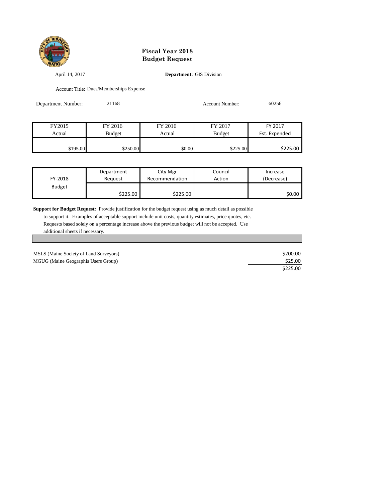

April 14, 2017 **Department:** GIS Division

Account Title: Dues/Memberships Expense

| Department Number: | 21168         |         | <b>Account Number:</b> | 60256         |
|--------------------|---------------|---------|------------------------|---------------|
|                    |               |         |                        |               |
| FY2015             | FY 2016       | FY 2016 | FY 2017                | FY 2017       |
| Actual             | <b>Budget</b> | Actual  | <b>Budget</b>          | Est. Expended |
| \$195.00           | \$250.00      | \$0.00  | \$225.00               | \$225.00      |

| FY-2018       | Department | City Mgr       | Council | Increase   |
|---------------|------------|----------------|---------|------------|
|               | Reauest    | Recommendation | Action  | (Decrease) |
| <b>Budget</b> | \$225.00   | \$225.00       |         | \$0.00     |

**Support for Budget Request:** Provide justification for the budget request using as much detail as possible

| MSLS (Maine Society of Land Surveyors) | \$200.00 |
|----------------------------------------|----------|
| MGUG (Maine Geographis Users Group)    | \$25.00  |
|                                        | \$225.00 |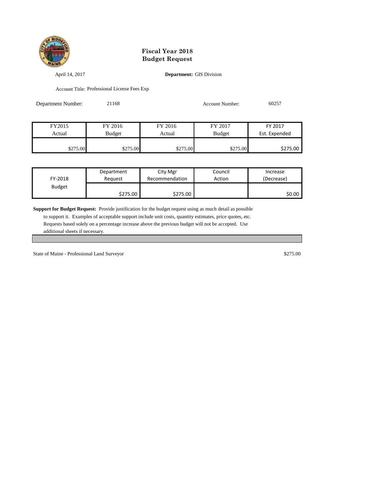

April 14, 2017 **Department:** GIS Division

Account Title: Professional License Fees Exp

| 21168<br>Department Number: |               |          | <b>Account Number:</b> | 60257         |  |
|-----------------------------|---------------|----------|------------------------|---------------|--|
|                             |               |          |                        |               |  |
| FY2015                      | FY 2016       | FY 2016  | FY 2017                | FY 2017       |  |
| Actual                      | <b>Budget</b> | Actual   | <b>Budget</b>          | Est. Expended |  |
| \$275.00                    | \$275.00      | \$275.00 | \$275.00               | \$275.00      |  |

| FY-2018       | Department | City Mgr       | Council | Increase   |
|---------------|------------|----------------|---------|------------|
|               | Reauest    | Recommendation | Action  | (Decrease) |
| <b>Budget</b> | \$275.00   | \$275.00       |         | \$0.00     |

**Support for Budget Request:** Provide justification for the budget request using as much detail as possible

 to support it. Examples of acceptable support include unit costs, quantity estimates, price quotes, etc. Requests based solely on a percentage increase above the previous budget will not be accepted. Use additional sheets if necessary.

State of Maine - Professional Land Surveyor  $$275.00$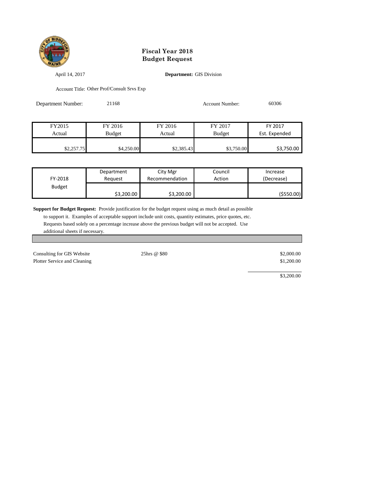

April 14, 2017 **Department:** GIS Division

Account Title: Other Prof/Consult Srvs Exp

| Department Number: | 21168         | Account Number: |               | 60306         |
|--------------------|---------------|-----------------|---------------|---------------|
|                    |               |                 |               |               |
| FY2015             | FY 2016       | FY 2016         | FY 2017       | FY 2017       |
| Actual             | <b>Budget</b> | Actual          | <b>Budget</b> | Est. Expended |
|                    |               |                 |               |               |
| \$2,257.75         | \$4,250.00    | \$2,385.43      | \$3,750.00    | \$3,750.00    |

| FY-2018       | Department | City Mgr       | Council | Increase   |
|---------------|------------|----------------|---------|------------|
|               | Reauest    | Recommendation | Action  | (Decrease) |
| <b>Budget</b> | \$3,200.00 | \$3,200.00     |         | (\$550.00) |

**Support for Budget Request:** Provide justification for the budget request using as much detail as possible

 to support it. Examples of acceptable support include unit costs, quantity estimates, price quotes, etc. Requests based solely on a percentage increase above the previous budget will not be accepted. Use additional sheets if necessary.

| Consulting for GIS Website   | 25hrs @ \$80 | \$2,000.00 |
|------------------------------|--------------|------------|
| Plotter Service and Cleaning |              | \$1,200.00 |
|                              |              |            |

\$3,200.00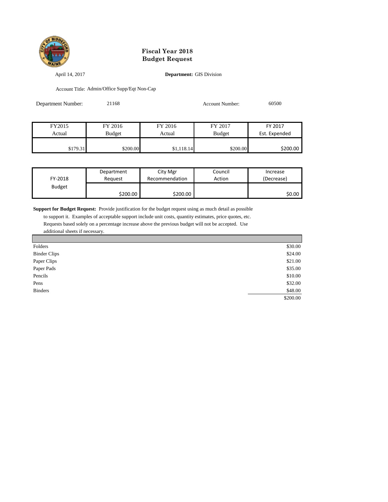

April 14, 2017 **Department:** GIS Division

Account Title: Admin/Office Supp/Eqt Non-Cap

| Department Number: | 21168         |            |               | 60500         |
|--------------------|---------------|------------|---------------|---------------|
|                    |               |            |               |               |
| FY2015             | FY 2016       | FY 2016    | FY 2017       | FY 2017       |
| Actual             | <b>Budget</b> | Actual     | <b>Budget</b> | Est. Expended |
| \$179.31           | \$200.00      | \$1,118.14 | \$200.00      | \$200.00      |

| FY-2018       | Department | City Mgr       | Council | Increase   |
|---------------|------------|----------------|---------|------------|
|               | Reauest    | Recommendation | Action  | (Decrease) |
| <b>Budget</b> | \$200.00   | \$200.00       |         | \$0.00     |

**Support for Budget Request:** Provide justification for the budget request using as much detail as possible

| Folders             | \$30.00  |
|---------------------|----------|
| <b>Binder Clips</b> | \$24.00  |
| Paper Clips         | \$21.00  |
| Paper Pads          | \$35.00  |
| Pencils             | \$10.00  |
| Pens                | \$32.00  |
| <b>Binders</b>      | \$48.00  |
|                     | \$200.00 |